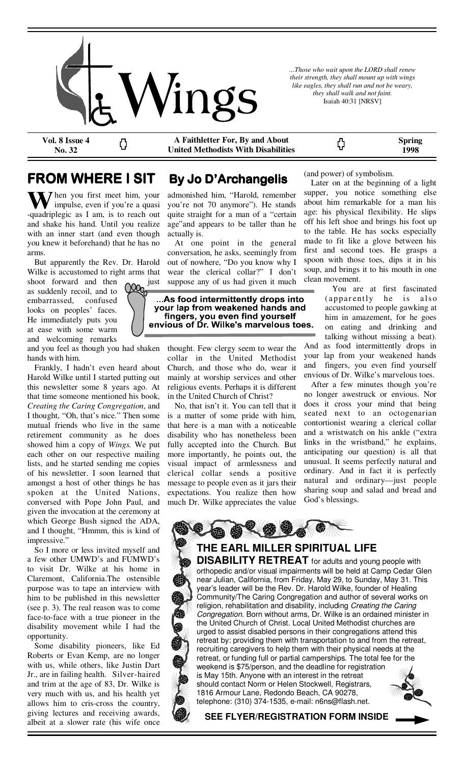

*...Those who wait upon the LORD shall renew their strength, they shall mount up with wings like eagles, they shall run and not be weary, they shall walk and not faint.*  Isaiah 40:31 [NRSV]

**Vol. 8 Issue 4 No. 32** 

**A Faithletter For, By and About United Methodists With Disabilities** 

**1998** 

**Spring** 

# **FROM WHERE I SIT By Jo D'Archangelis**

Ω

hen you first meet him, your impulse, even if you're a quasi -quadriplegic as I am, is to reach out and shake his hand. Until you realize with an inner start (and even though you knew it beforehand) that he has no arms.

 But apparently the Rev. Dr. Harold Wilke is accustomed to right arms that

shoot forward and then  $\bigcirc$  just as suddenly recoil, and to embarrassed, confused looks on peoples' faces. He immediately puts you at ease with some warm and welcoming remarks

and you feel as though you had shaken hands with him.

 Frankly, I hadn't even heard about Harold Wilke until I started putting out this newsletter some 8 years ago. At that time someone mentioned his book, *Creating the Caring Congregation*, and I thought, "Oh, that's nice." Then some mutual friends who live in the same retirement community as he does showed him a copy of *Wings.* We put each other on our respective mailing lists, and he started sending me copies of his newsletter. I soon learned that amongst a host of other things he has spoken at the United Nations, conversed with Pope John Paul, and given the invocation at the ceremony at which George Bush signed the ADA, and I thought, "Hmmm, this is kind of impressive.'

 So I more or less invited myself and a few other UMWD's and FUMWD's to visit Dr. Wilke at his home in Claremont, California.The ostensible purpose was to tape an interview with him to be published in this newsletter (see p. 3). The real reason was to come face-to-face with a true pioneer in the disability movement while I had the opportunity.

 Some disability pioneers, like Ed Roberts or Evan Kemp, are no longer with us, while others, like Justin Dart Jr., are in failing health. Silver-haired and trim at the age of 83, Dr. Wilke is very much with us, and his health yet allows him to cris-cross the country, giving lectures and receiving awards, albeit at a slower rate (his wife once

admonished him, "Harold, remember you're not 70 anymore"). He stands quite straight for a man of a "certain age"and appears to be taller than he actually is.

 At one point in the general conversation, he asks, seemingly from out of nowhere, "Do you know why I wear the clerical collar?" I don't suppose any of us had given it much

...As food intermittently drops into your lap from weakened hands and fingers, you even find yourself<br>envious of Dr. Wilke's marvelous toes.

> thought. Few clergy seem to wear the collar in the United Methodist Church, and those who do, wear it mainly at worship services and other religious events. Perhaps it is different in the United Church of Christ?

> No, that isn't it. You can tell that it is a matter of some pride with him, that here is a man with a noticeable disability who has nonetheless been fully accepted into the Church. But more importantly, he points out, the visual impact of armlessness and clerical collar sends a positive message to people even as it jars their expectations. You realize then how much Dr. Wilke appreciates the value

(and power) of symbolism.

ς,

 Later on at the beginning of a light supper, you notice something else about him remarkable for a man his age: his physical flexibility. He slips off his left shoe and brings his foot up to the table. He has socks especially made to fit like a glove between his first and second toes. He grasps a spoon with those toes, dips it in his soup, and brings it to his mouth in one clean movement.

 You are at first fascinated (apparently he is also accustomed to people gawking at him in amazement, for he goes on eating and drinking and talking without missing a beat). And as food intermittently drops in your lap from your weakened hands and fingers, you even find yourself envious of Dr. Wilke's marvelous toes.

 After a few minutes though you're no longer awestruck or envious. Nor does it cross your mind that being seated next to an octogenarian contortionist wearing a clerical collar and a wristwatch on his ankle ("extra links in the wristband," he explains, anticipating our question) is all that unusual. It seems perfectly natural and ordinary. And in fact it is perfectly natural and ordinary—just people sharing soup and salad and bread and God's blessings.

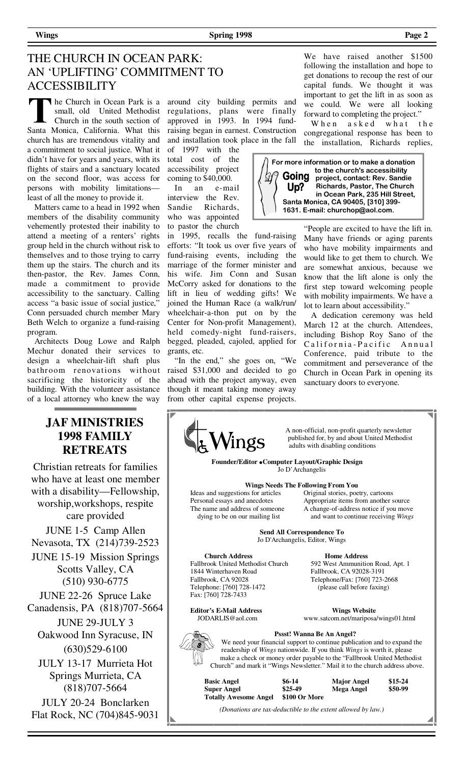**Wings** Page 2 **Page 2 Page 2 Page 2 Page 2 Page 2 Page 2 Page 2** 

# THE CHURCH IN OCEAN PARK: AN 'UPLIFTING' COMMITMENT TO ACCESSIBILITY

he Church in Ocean Park is a small, old United Methodist Church in the south section of Santa Monica, California. What this church has are tremendous vitality and a commitment to social justice. What it didn't have for years and years, with its flights of stairs and a sanctuary located on the second floor, was access for persons with mobility limitations least of all the money to provide it.

 Matters came to a head in 1992 when members of the disability community vehemently protested their inability to attend a meeting of a renters' rights group held in the church without risk to themselves and to those trying to carry them up the stairs. The church and its then-pastor, the Rev. James Conn, made a commitment to provide accessibility to the sanctuary. Calling access "a basic issue of social justice," Conn persuaded church member Mary Beth Welch to organize a fund-raising program.

 Architects Doug Lowe and Ralph Mechur donated their services to design a wheelchair-lift shaft plus bathroom renovations without sacrificing the historicity of the building. With the volunteer assistance of a local attorney who knew the way

# **JAF MINISTRIES 1998 FAMILY RETREATS**

Christian retreats for families who have at least one member with a disability—Fellowship, worship,workshops, respite care provided

JUNE 1-5 Camp Allen Nevasota, TX (214)739-2523

JUNE 15-19 Mission Springs Scotts Valley, CA (510) 930-6775

JUNE 22-26 Spruce Lake Canadensis, PA (818)707-5664 JUNE 29-JULY 3

Oakwood Inn Syracuse, IN (630)529-6100

JULY 13-17 Murrieta Hot Springs Murrieta, CA (818)707-5664

JULY 20-24 Bonclarken Flat Rock, NC (704)845-9031 around city building permits and regulations, plans were finally approved in 1993. In 1994 fundraising began in earnest. Construction and installation took place in the fall

of 1997 with the total cost of the accessibility project coming to \$40,000.

 In an e-mail interview the Rev. Sandie Richards, who was appointed to pastor the church

in 1995, recalls the fund-raising efforts: "It took us over five years of fund-raising events, including the marriage of the former minister and his wife. Jim Conn and Susan McCorry asked for donations to the lift in lieu of wedding gifts! We joined the Human Race (a walk/run/ wheelchair-a-thon put on by the Center for Non-profit Management), held comedy-night fund-raisers, begged, pleaded, cajoled, applied for grants, etc.

 "In the end," she goes on, "We raised \$31,000 and decided to go ahead with the project anyway, even though it meant taking money away from other capital expense projects.

We have raised another \$1500 following the installation and hope to get donations to recoup the rest of our capital funds. We thought it was important to get the lift in as soon as we could. We were all looking forward to completing the project."

When a sked what the congregational response has been to the installation, Richards replies,



"People are excited to have the lift in. Many have friends or aging parents who have mobility impairments and would like to get them to church. We are somewhat anxious, because we know that the lift alone is only the first step toward welcoming people with mobility impairments. We have a lot to learn about accessibility."

 A dedication ceremony was held March 12 at the church. Attendees, including Bishop Roy Sano of the California-Pacific Annual Conference, paid tribute to the commitment and perseverance of the Church in Ocean Park in opening its sanctuary doors to everyone.



 $\mathcal{M}$  h non-official, non-profit quarterly newsletter published for, by and about United Methodist adults with disabling conditions published for, by and about United Methodist adults with disabling conditions

 **Founder/Editor Computer Layout/Graphic Design**  Jo D'Archangelis

**Wings Needs The Following From You** 

Ideas and suggestions for articles Original stories, poetry, cartoons<br>Personal essays and anecdotes Appropriate items from another s dying to be on our mailing list and want to continue receiving *Wings*

Appropriate items from another source The name and address of someone A change-of-address notice if you move

> **Send All Correspondence To**  Jo D'Archangelis, Editor, Wings

**Church Address Home Address**<br>Fallbrook United Methodist Church 592 West Ammunitic 1844 Winterhaven Road Fallbrook, CA 92028-3191 Telephone: [760] 728-1472 (please call before faxing) Fax: [760] 728-7433

**Editor's E-Mail Address Wings Website 30 Wings Website 30 Wings Website 30 Wings Website 30 Wings Website 30 Wings Website 30 Wings Website 30 Wings Website 30 Wings Website 30 Wings Website 30 Wings Website 30 Wings Webs** 

592 West Ammunition Road, Apt. 1 Telephone/Fax: [760] 723-2668

www.satcom.net/mariposa/wings01.html

# **Pssst! Wanna Be An Angel?**

 We need your financial support to continue publication and to expand the readership of *Wings* nationwide. If you think *Wings* is worth it, please make a check or money order payable to the "Fallbrook United Methodist" Church" and mark it "Wings Newsletter." Mail it to the church address above.

| <b>Basic Angel</b>           | $$6-14$       | <b>Major Angel</b> | $$15-24$ |
|------------------------------|---------------|--------------------|----------|
| <b>Super Angel</b>           | $$25-49$      | Mega Angel         | \$50-99  |
| <b>Totally Awesome Angel</b> | \$100 Or More |                    |          |

*(Donations are tax-deductible to the extent allowed by law.)*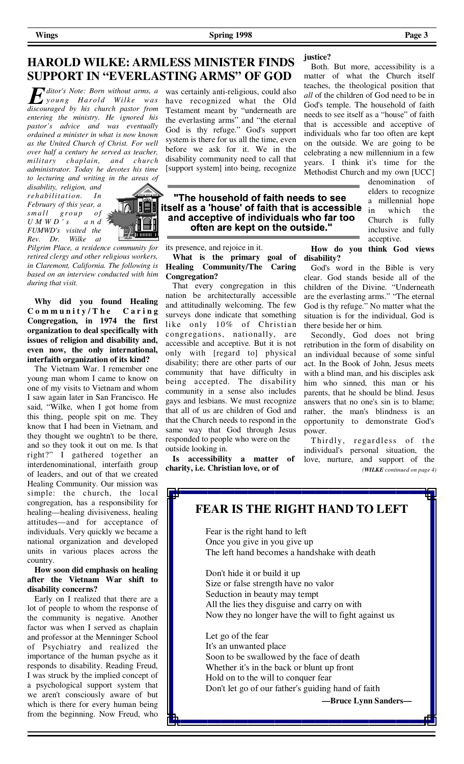## **HAROLD WILKE: ARMLESS MINISTER FINDS SUPPORT IN "EVERLASTING ARMS" OF GOD**

*ditor's Note: Born without arms, a young Harold Wilke was discouraged by his church pastor from entering the ministry. He ignored his pastor's advice and was eventually ordained a minister in what is now known as the United Church of Christ. For well over half a century he served as teacher, military chaplain, and church administrator. Today he devotes his time to lecturing and writing in the areas of* 

*disability, religion, and rehabili tati on. In February of this year, a small group of U M W D ' s a n d FUMWD's visited the Rev. Dr. Wilke at* 



*Pilgrim Place, a residence community for retired clergy and other religious workers, in Claremont, California. The following is based on an interview conducted with him during that visit.*

 **Why did you found Healing C o m m u n i t y / T h e C a r i n g Congregation, in 1974 the first organization to deal specifically with issues of religion and disability and, even now, the only international, interfaith organization of its kind?** 

 The Vietnam War. I remember one young man whom I came to know on one of my visits to Vietnam and whom I saw again later in San Francisco. He said, "Wilke, when I got home from this thing, people spit on me. They know that I had been in Vietnam, and they thought we oughtn't to be there, and so they took it out on me. Is that right?" I gathered together an interdenominational, interfaith group of leaders, and out of that we created Healing Community. Our mission was simple: the church, the local congregation, has a responsibility for healing—healing divisiveness, healing attitudes—and for acceptance of individuals. Very quickly we became a national organization and developed units in various places across the country.

#### **How soon did emphasis on healing after the Vietnam War shift to disability concerns?**

 Early on I realized that there are a lot of people to whom the response of the community is negative. Another factor was when I served as chaplain and professor at the Menninger School of Psychiatry and realized the importance of the human psyche as it responds to disability. Reading Freud, I was struck by the implied concept of a psychological support system that we aren't consciously aware of but which is there for every human being from the beginning. Now Freud, who

was certainly anti-religious, could also have recognized what the Old Testament meant by "underneath are the everlasting arms" and "the eternal God is thy refuge." God's support system is there for us all the time, even before we ask for it. We in the disability community need to call that [support system] into being, recognize

### "The household of faith needs to see itself as a 'house' of faith that is accessible and acceptive of individuals who far too often are kept on the outside."

its presence, and rejoice in it.

**What is the primary goal of Healing Community/The Caring Congregation?** 

 That every congregation in this nation be architecturally accessible and attitudinally welcoming. The few surveys done indicate that something like only 10% of Christian congregations, nationally, are accessible and acceptive. But it is not only with [regard to] physical disability; there are other parts of our community that have difficulty in being accepted. The disability community in a sense also includes gays and lesbians. We must recognize that all of us are children of God and that the Church needs to respond in the same way that God through Jesus responded to people who were on the outside looking in.

 **Is accessibility a matter of charity, i.e. Christian love, or of** 

**disability?**

 Both. But more, accessibility is a matter of what the Church itself teaches, the theological position that *all* of the children of God need to be in God's temple. The household of faith needs to see itself as a "house" of faith that is accessible and acceptive of individuals who far too often are kept on the outside. We are going to be celebrating a new millennium in a few years. I think it's time for the Methodist Church and my own [UCC]

denomination of elders to recognize a millennial hope in which the Church is fully inclusive and fully acceptive.

 **How do you think God views** 

 God's word in the Bible is very clear. God stands beside all of the children of the Divine. "Underneath are the everlasting arms." "The eternal God is thy refuge." No matter what the situation is for the individual, God is there beside her or him.

 Secondly, God does not bring retribution in the form of disability on an individual because of some sinful act. In the Book of John, Jesus meets with a blind man, and his disciples ask him who sinned, this man or his parents, that he should be blind. Jesus answers that no one's sin is to blame; rather, the man's blindness is an opportunity to demonstrate God's power.

Thirdly, regardless of the individual's personal situation, the love, nurture, and support of the *(WILKE continued on page 4)* 

## **FEAR IS THE RIGHT HAND TO LEFT**

 Fear is the right hand to left Once you give in you give up The left hand becomes a handshake with death

 Don't hide it or build it up Size or false strength have no valor Seduction in beauty may tempt All the lies they disguise and carry on with Now they no longer have the will to fight against us

 Let go of the fear It's an unwanted place Soon to be swallowed by the face of death Whether it's in the back or blunt up front Hold on to the will to conquer fear Don't let go of our father's guiding hand of faith

## **justice?**